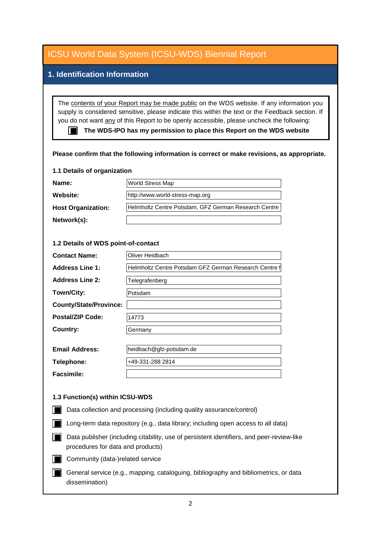| <b>ICSU World Data System (ICSU-WDS) Biennial Report</b>                                                                                                                                                                                                                                                                                                                                                                                                           |                                                       |
|--------------------------------------------------------------------------------------------------------------------------------------------------------------------------------------------------------------------------------------------------------------------------------------------------------------------------------------------------------------------------------------------------------------------------------------------------------------------|-------------------------------------------------------|
| 1. Identification Information                                                                                                                                                                                                                                                                                                                                                                                                                                      |                                                       |
|                                                                                                                                                                                                                                                                                                                                                                                                                                                                    |                                                       |
| The contents of your Report may be made public on the WDS website. If any information you<br>supply is considered sensitive, please indicate this within the text or the Feedback section. If<br>you do not want any of this Report to be openly accessible, please uncheck the following:<br>The WDS-IPO has my permission to place this Report on the WDS website<br>Please confirm that the following information is correct or make revisions, as appropriate. |                                                       |
| 1.1 Details of organization                                                                                                                                                                                                                                                                                                                                                                                                                                        |                                                       |
| Name:                                                                                                                                                                                                                                                                                                                                                                                                                                                              | World Stress Map                                      |
| Website:                                                                                                                                                                                                                                                                                                                                                                                                                                                           | http://www.world-stress-map.org                       |
| <b>Host Organization:</b>                                                                                                                                                                                                                                                                                                                                                                                                                                          | Helmholtz Centre Potsdam, GFZ German Research Centre  |
| Network(s):                                                                                                                                                                                                                                                                                                                                                                                                                                                        |                                                       |
| 1.2 Details of WDS point-of-contact                                                                                                                                                                                                                                                                                                                                                                                                                                |                                                       |
| <b>Contact Name:</b>                                                                                                                                                                                                                                                                                                                                                                                                                                               | Oliver Heidbach                                       |
| <b>Address Line 1:</b>                                                                                                                                                                                                                                                                                                                                                                                                                                             | Helmholtz Centre Potsdam GFZ German Research Centre f |
| <b>Address Line 2:</b>                                                                                                                                                                                                                                                                                                                                                                                                                                             | Telegrafenberg                                        |
| Town/City:                                                                                                                                                                                                                                                                                                                                                                                                                                                         | Potsdam                                               |
| <b>County/State/Province:</b>                                                                                                                                                                                                                                                                                                                                                                                                                                      |                                                       |
| <b>Postal/ZIP Code:</b>                                                                                                                                                                                                                                                                                                                                                                                                                                            | 14773                                                 |
| <b>Country:</b>                                                                                                                                                                                                                                                                                                                                                                                                                                                    | Germany                                               |
| <b>Email Address:</b>                                                                                                                                                                                                                                                                                                                                                                                                                                              | heidbach@gfz-potsdam.de                               |
| Telephone:                                                                                                                                                                                                                                                                                                                                                                                                                                                         | +49-331-288 2814                                      |
| <b>Facsimile:</b>                                                                                                                                                                                                                                                                                                                                                                                                                                                  |                                                       |
| 1.3 Function(s) within ICSU-WDS                                                                                                                                                                                                                                                                                                                                                                                                                                    |                                                       |
| Data collection and processing (including quality assurance/control)                                                                                                                                                                                                                                                                                                                                                                                               |                                                       |
| Long-term data repository (e.g., data library; including open access to all data)                                                                                                                                                                                                                                                                                                                                                                                  |                                                       |
| Data publisher (including citability, use of persistent identifiers, and peer-review-like<br>procedures for data and products)                                                                                                                                                                                                                                                                                                                                     |                                                       |
| Community (data-)related service                                                                                                                                                                                                                                                                                                                                                                                                                                   |                                                       |
| General service (e.g., mapping, cataloguing, bibliography and bibliometrics, or data<br>dissemination)                                                                                                                                                                                                                                                                                                                                                             |                                                       |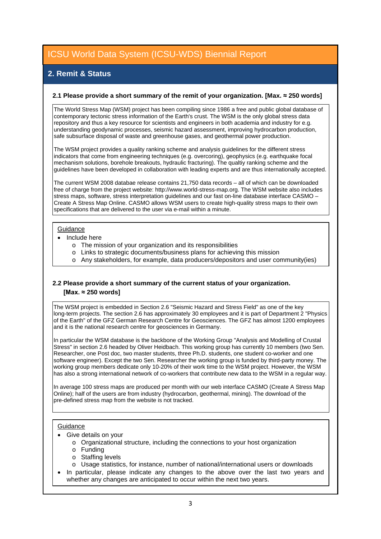## **2. Remit & Status**

#### **2.1 Please provide a short summary of the remit of your organization. [Max. ≈ 250 words]**

The World Stress Map (WSM) project has been compiling since 1986 a free and public global database of contemporary tectonic stress information of the Earth's crust. The WSM is the only global stress data repository and thus a key resource for scientists and engineers in both academia and industry for e.g. understanding geodynamic processes, seismic hazard assessment, improving hydrocarbon production, safe subsurface disposal of waste and greenhouse gases, and geothermal power production.

The WSM project provides a quality ranking scheme and analysis guidelines for the different stress indicators that come from engineering techniques (e.g. overcoring), geophysics (e.g. earthquake focal mechanism solutions, borehole breakouts, hydraulic fracturing). The qualtiy ranking scheme and the guidelines have been developed in collaboration with leading experts and are thus internationally accepted.

The current WSM 2008 databae release contains 21,750 data records – all of which can be downloaded free of charge from the project website: http://www.world-stress-map.org. The WSM website also includes stress maps, software, stress interpretation guidelines and our fast on-line database interface CASMO – Create A Stress Map Online. CASMO allows WSM users to create high-quality stress maps to their own specifications that are delivered to the user via e-mail within a minute.

#### **Guidance**

- Include here
	- o The mission of your organization and its responsibilities
	- o Links to strategic documents/business plans for achieving this mission
	- o Any stakeholders, for example, data producers/depositors and user community(ies)

### **2.2 Please provide a short summary of the current status of your organization. [Max. ≈ 250 words]**

The WSM project is embedded in Section 2.6 "Seismic Hazard and Stress Field" as one of the key long-term projects. The section 2.6 has approximately 30 employees and it is part of Department 2 "Physics of the Earth" of the GFZ German Research Centre for Geosciences. The GFZ has almost 1200 employees and it is the national research centre for geosciences in Germany.

In particular the WSM database is the backbone of the Working Group "Analysis and Modelling of Crustal Stress" in section 2.6 headed by Oliver Heidbach. This working group has currently 10 members (two Sen. Researcher, one Post doc, two master students, three Ph.D. students, one student co-worker and one software engineer). Except the two Sen. Researcher the working group is funded by third-party money. The working group members dedicate only 10-20% of their work time to the WSM project. However, the WSM has also a strong international network of co-workers that contribute new data to the WSM in a regular way.

In average 100 stress maps are produced per month with our web interface CASMO (Create A Stress Map Online); half of the users are from industry (hydrocarbon, geothermal, mining). The download of the  $|$  pre-defined stress map from the website is not tracked.

#### **Guidance**

- Give details on your
	- o Organizational structure, including the connections to your host organization
	- o Funding
	- o Staffing levels
	- o Usage statistics, for instance, number of national/international users or downloads
- In particular, please indicate any changes to the above over the last two years and whether any changes are anticipated to occur within the next two years.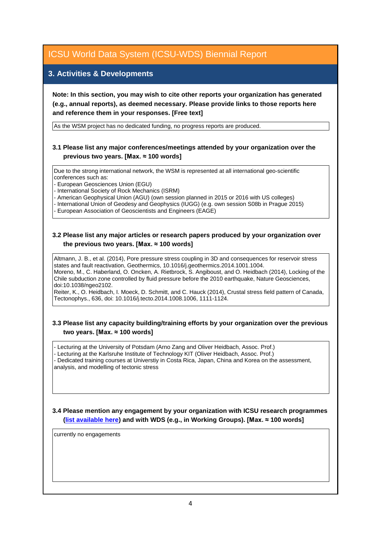### **3. Activities & Developments**

**Note: In this section, you may wish to cite other reports your organization has generated (e.g., annual reports), as deemed necessary. Please provide links to those reports here and reference them in your responses. [Free text]**

As the WSM project has no dedicated funding, no progress reports are produced.

### **3.1 Please list any major conferences/meetings attended by your organization over the previous two years. [Max. ≈ 100 words]**

Due to the strong international network, the WSM is represented at all international geo-scientific conferences such as:

- European Geosciences Union (EGU)

- International Society of Rock Mechanics (ISRM)

- American Geophysical Union (AGU) (own session planned in 2015 or 2016 with US colleges)

- International Union of Geodesy and Geophysics (IUGG) (e.g. own session S08b in Prague 2015)

- European Association of Geoscientists and Engineers (EAGE)

### **3.2 Please list any major articles or research papers produced by your organization over the previous two years. [Max. ≈ 100 words]**

Altmann, J. B., et al. (2014), Pore pressure stress coupling in 3D and consequences for reservoir stress states and fault reactivation, Geothermics, 10.1016/j.geothermics.2014.1001.1004. Moreno, M., C. Haberland, O. Oncken, A. Rietbrock, S. Angiboust, and O. Heidbach (2014), Locking of the Chile subduction zone controlled by fluid pressure before the 2010 earthquake, Nature Geosciences, doi:10.1038/ngeo2102.

Reiter, K., O. Heidbach, I. Moeck, D. Schmitt, and C. Hauck (2014), Crustal stress field pattern of Canada, Tectonophys., 636, doi: 10.1016/j.tecto.2014.1008.1006, 1111-1124.

### **3.3 Please list any capacity building/training efforts by your organization over the previous two years. [Max. ≈ 100 words]**

- Lecturing at the University of Potsdam (Arno Zang and Oliver Heidbach, Assoc. Prof.) - Lecturing at the Karlsruhe Institute of Technology KIT (Oliver Heidbach, Assoc. Prof.) - Dedicated training courses at Universtiy in Costa Rica, Japan, China and Korea on the assessment, analysis, and modelling of tectonic stress

**3.4 Please mention any engagement by your organization with ICSU research programmes [\(list available here\)](http://www.icsu.org/what-we-do/@@category_search?path=/icsu/what-we-do&Subject:list=International%20Research%20Collaboration) and with WDS (e.g., in Working Groups). [Max. ≈ 100 words]**

currently no engagements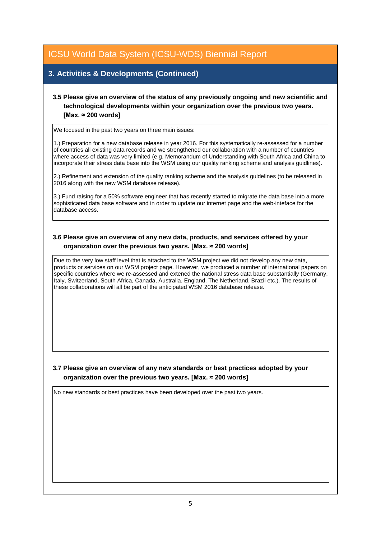## **3. Activities & Developments (Continued)**

### **3.5 Please give an overview of the status of any previously ongoing and new scientific and technological developments within your organization over the previous two years. [Max. ≈ 200 words]**

We focused in the past two years on three main issues:

1.) Preparation for a new database release in year 2016. For this systematically re-assessed for a number of countries all existing data records and we strengthened our collaboration with a number of countries where access of data was very limited (e.g. Memorandum of Understanding with South Africa and China to incorporate their stress data base into the WSM using our quality ranking scheme and analysis guidlines).

2.) Refinement and extension of the quality ranking scheme and the analysis guidelines (to be released in 2016 along with the new WSM database release).

3.) Fund raising for a 50% software engineer that has recently started to migrate the data base into a more sophisticated data base software and in order to update our internet page and the web-inteface for the database access.

### **3.6 Please give an overview of any new data, products, and services offered by your organization over the previous two years. [Max. ≈ 200 words]**

Due to the very low staff level that is attached to the WSM project we did not develop any new data, products or services on our WSM project page. However, we produced a number of international papers on specific countries where we re-assessed and extened the national stress data base substantially (Germany, Italy, Switzerland, South Africa, Canada, Australia, England, The Netherland, Brazil etc.). The results of these collaborations will all be part of the anticipated WSM 2016 database release.

**3.7 Please give an overview of any new standards or best practices adopted by your organization over the previous two years. [Max. ≈ 200 words]**

No new standards or best practices have been developed over the past two years.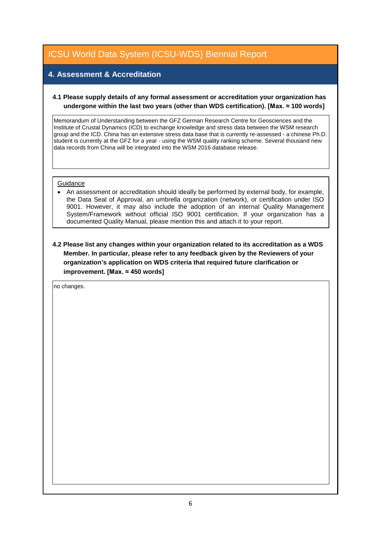## **4. Assessment & Accreditation**

### **4.1 Please supply details of any formal assessment or accreditation your organization has undergone within the last two years (other than WDS certification). [Max. ≈ 100 words]**

Memorandum of Understanding between the GFZ German Research Centre for Geosciences and the Institute of Crustal Dynamics (ICD) to exchange knowledge and stress data between the WSM research group and the ICD. China has an extensive stress data base that is currently re-assessed - a chinese Ph.D. student is currently at the GFZ for a year - using the WSM quality ranking scheme. Several thousand new data records from China will be integrated into the WSM 2016 database release.

#### **Guidance**

• An assessment or accreditation should ideally be performed by external body, for example, the Data Seal of Approval, an umbrella organization (network), or certification under ISO 9001. However, it may also include the adoption of an internal Quality Management System/Framework without official ISO 9001 certification. If your organization has a documented Quality Manual, please mention this and attach it to your report.

**4.2 Please list any changes within your organization related to its accreditation as a WDS Member. In particular, please refer to any feedback given by the Reviewers of your organization's application on WDS criteria that required future clarification or improvement. [Max. ≈ 450 words]**

no changes.